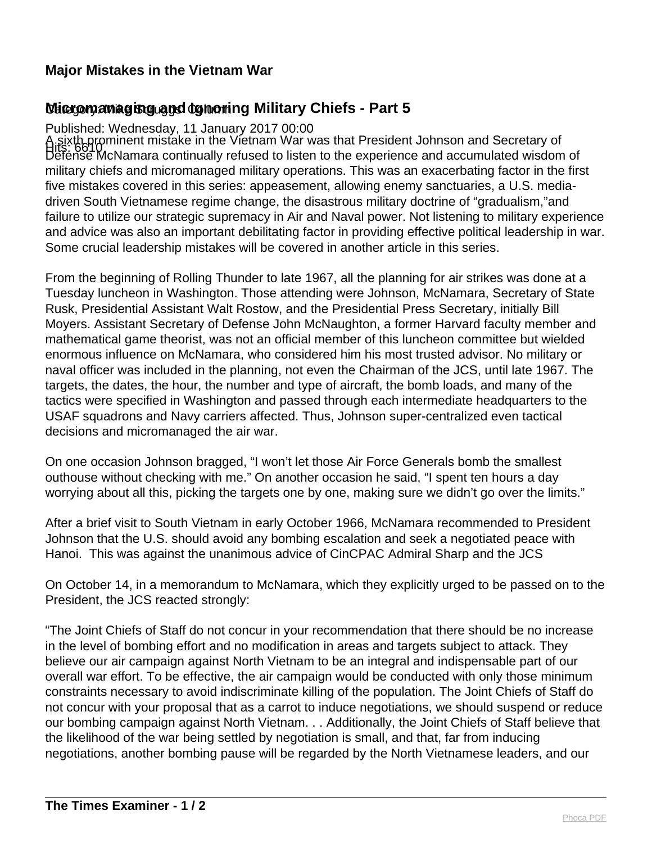## **Major Mistakes in the Vietnam War**

## **Micromanaging and Conoming Military Chiefs - Part 5**

## Published: Wednesday, 11 January 2017 00:00

A sixth prominent mistake in the Vietnam War was that President Johnson and Secretary of<br>Hits: 662 MeNemere continually refused to listen to the evenciones and assumulated wieder Defense McNamara continually refused to listen to the experience and accumulated wisdom of military chiefs and micromanaged military operations. This was an exacerbating factor in the first five mistakes covered in this series: appeasement, allowing enemy sanctuaries, a U.S. mediadriven South Vietnamese regime change, the disastrous military doctrine of "gradualism,"and failure to utilize our strategic supremacy in Air and Naval power. Not listening to military experience and advice was also an important debilitating factor in providing effective political leadership in war. Some crucial leadership mistakes will be covered in another article in this series.

From the beginning of Rolling Thunder to late 1967, all the planning for air strikes was done at a Tuesday luncheon in Washington. Those attending were Johnson, McNamara, Secretary of State Rusk, Presidential Assistant Walt Rostow, and the Presidential Press Secretary, initially Bill Moyers. Assistant Secretary of Defense John McNaughton, a former Harvard faculty member and mathematical game theorist, was not an official member of this luncheon committee but wielded enormous influence on McNamara, who considered him his most trusted advisor. No military or naval officer was included in the planning, not even the Chairman of the JCS, until late 1967. The targets, the dates, the hour, the number and type of aircraft, the bomb loads, and many of the tactics were specified in Washington and passed through each intermediate headquarters to the USAF squadrons and Navy carriers affected. Thus, Johnson super-centralized even tactical decisions and micromanaged the air war.

On one occasion Johnson bragged, "I won't let those Air Force Generals bomb the smallest outhouse without checking with me." On another occasion he said, "I spent ten hours a day worrying about all this, picking the targets one by one, making sure we didn't go over the limits."

After a brief visit to South Vietnam in early October 1966, McNamara recommended to President Johnson that the U.S. should avoid any bombing escalation and seek a negotiated peace with Hanoi. This was against the unanimous advice of CinCPAC Admiral Sharp and the JCS

On October 14, in a memorandum to McNamara, which they explicitly urged to be passed on to the President, the JCS reacted strongly:

"The Joint Chiefs of Staff do not concur in your recommendation that there should be no increase in the level of bombing effort and no modification in areas and targets subject to attack. They believe our air campaign against North Vietnam to be an integral and indispensable part of our overall war effort. To be effective, the air campaign would be conducted with only those minimum constraints necessary to avoid indiscriminate killing of the population. The Joint Chiefs of Staff do not concur with your proposal that as a carrot to induce negotiations, we should suspend or reduce our bombing campaign against North Vietnam. . . Additionally, the Joint Chiefs of Staff believe that the likelihood of the war being settled by negotiation is small, and that, far from inducing negotiations, another bombing pause will be regarded by the North Vietnamese leaders, and our